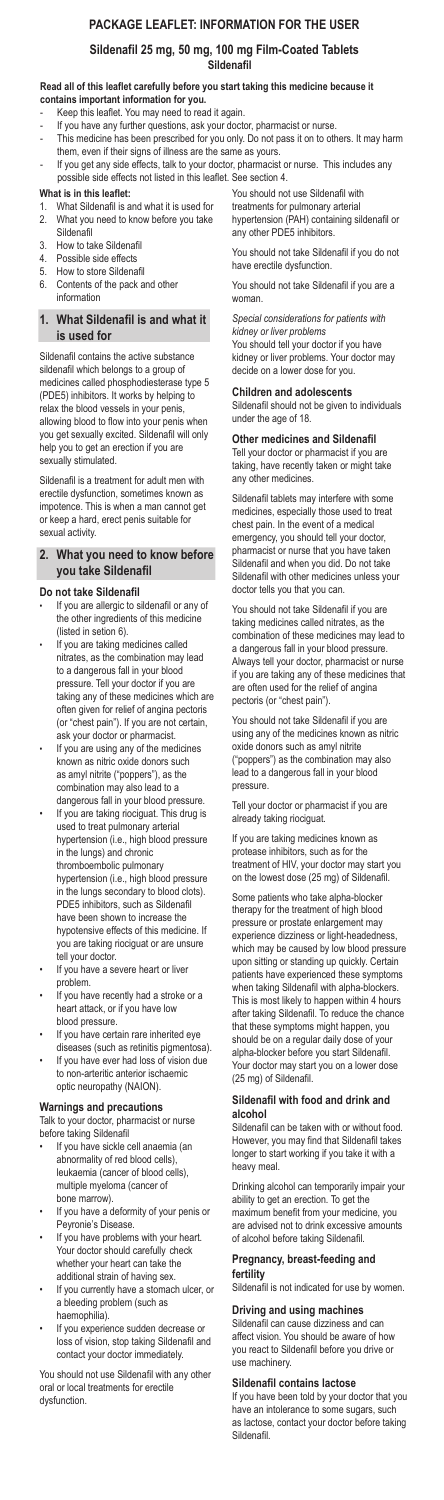### **What is in this leaflet:**

- 1. What Sildenafil is and what it is used for
- 2. What you need to know before you take Sildenafil
- 3. How to take Sildenafil
- 4. Possible side effects
- 5. How to store Sildenafil
- 6. Contents of the pack and other information

## **1. What Sildenafil is and what it is used for**

Sildenafil contains the active substance sildenafil which belongs to a group of medicines called phosphodiesterase type 5 (PDE5) inhibitors. It works by helping to relax the blood vessels in your penis, allowing blood to flow into your penis when you get sexually excited. Sildenafil will only help you to get an erection if you are sexually stimulated.

Sildenafil is a treatment for adult men with erectile dysfunction, sometimes known as impotence. This is when a man cannot get or keep a hard, erect penis suitable for sexual activity.

## **2. What you need to know before you take Sildenafil**

## **Do not take Sildenafil**

- If you are allergic to sildenafil or any of the other ingredients of this medicine (listed in setion 6).
- If you are taking medicines called nitrates, as the combination may lead to a dangerous fall in your blood pressure. Tell your doctor if you are taking any of these medicines which are often given for relief of angina pectoris (or "chest pain"). If you are not certain, ask your doctor or pharmacist.
- If you are using any of the medicines known as nitric oxide donors such as amyl nitrite ("poppers"), as the combination may also lead to a dangerous fall in your blood pressure.
- If you are taking riociguat. This drug is used to treat pulmonary arterial hypertension (i.e., high blood pressure in the lungs) and chronic thromboembolic pulmonary hypertension (i.e., high blood pressure in the lungs secondary to blood clots). PDE5 inhibitors, such as Sildenafil have been shown to increase the hypotensive effects of this medicine. If you are taking riociguat or are unsure tell your doctor.
- If you have a severe heart or liver problem.
- If you have recently had a stroke or a heart attack, or if you have low blood pressure.
- If you have certain rare inherited eye diseases (such as retinitis pigmentosa).
- If you have ever had loss of vision due to non-arteritic anterior ischaemic
- 

- If you have sickle cell anaemia (an abnormality of red blood cells), leukaemia (cancer of blood cells), multiple myeloma (cancer of bone marrow).
- If you have a deformity of your penis or Peyronie's Disease.
- If you have problems with your heart. Your doctor should carefully check whether your heart can take the additional strain of having sex.
- If you currently have a stomach ulcer, or a bleeding problem (such as haemophilia).
- If you experience sudden decrease or loss of vision, stop taking Sildenafil and contact your doctor immediately.

optic neuropathy (NAION).

## **Warnings and precautions**

Talk to your doctor, pharmacist or nurse before taking Sildenafil

You should not use Sildenafil with any other oral or local treatments for erectile dysfunction.

You should not use Sildenafil with treatments for pulmonary arterial hypertension (PAH) containing sildenafil or any other PDE5 inhibitors.

You should not take Sildenafil if you do not have erectile dysfunction.

You should not take Sildenafil if you are a woman.

*Special considerations for patients with kidney or liver problems*

You should tell your doctor if you have kidney or liver problems. Your doctor may decide on a lower dose for you.

## **Children and adolescents**

Sildenafil should not be given to individuals under the age of 18.

## **Other medicines and Sildenafil**

Tell your doctor or pharmacist if you are taking, have recently taken or might take any other medicines.

Sildenafil tablets may interfere with some medicines, especially those used to treat chest pain. In the event of a medical emergency, you should tell your doctor, pharmacist or nurse that you have taken Sildenafil and when you did. Do not take Sildenafil with other medicines unless your doctor tells you that you can.

You should not take Sildenafil if you are taking medicines called nitrates, as the combination of these medicines may lead to a dangerous fall in your blood pressure. Always tell your doctor, pharmacist or nurse if you are taking any of these medicines that are often used for the relief of angina pectoris (or "chest pain").

You should not take Sildenafil if you are using any of the medicines known as nitric oxide donors such as amyl nitrite ("poppers") as the combination may also lead to a dangerous fall in your blood pressure.

Tell your doctor or pharmacist if you are already taking riociguat.

If you are taking medicines known as protease inhibitors, such as for the treatment of HIV, your doctor may start you on the lowest dose (25 mg) of Sildenafil.

Some patients who take alpha-blocker therapy for the treatment of high blood pressure or prostate enlargement may experience dizziness or light-headedness, which may be caused by low blood pressure upon sitting or standing up quickly. Certain patients have experienced these symptoms when taking Sildenafil with alpha-blockers. This is most likely to happen within 4 hours after taking Sildenafil. To reduce the chance that these symptoms might happen, you should be on a regular daily dose of your alpha-blocker before you start Sildenafil. Your doctor may start you on a lower dose (25 mg) of Sildenafil.

### **Sildenafil with food and drink and alcohol**

Sildenafil can be taken with or without food. However, you may find that Sildenafil takes longer to start working if you take it with a heavy meal.

Drinking alcohol can temporarily impair your ability to get an erection. To get the maximum benefit from your medicine, you are advised not to drink excessive amounts of alcohol before taking Sildenafil.

### **Pregnancy, breast-feeding and fertility**

Sildenafil is not indicated for use by women.

# **Driving and using machines**

Sildenafil can cause dizziness and can affect vision. You should be aware of how you react to Sildenafil before you drive or use machinery.

# **Sildenafil contains lactose**

If you have been told by your doctor that you have an intolerance to some sugars, such as lactose, contact your doctor before taking Sildenafil.

- Keep this leaflet. You may need to read it again.
- If you have any further questions, ask your doctor, pharmacist or nurse.
- This medicine has been prescribed for you only. Do not pass it on to others. It may harm them, even if their signs of illness are the same as yours.
- If you get any side effects, talk to your doctor, pharmacist or nurse. This includes any possible side effects not listed in this leaflet. See section 4.

# **PACKAGE LEAFLET: INFORMATION FOR THE USER**

# **Sildenafil 25 mg, 50 mg, 100 mg Film-Coated Tablets Sildenafil**

### **Read all of this leaflet carefully before you start taking this medicine because it contains important information for you.**